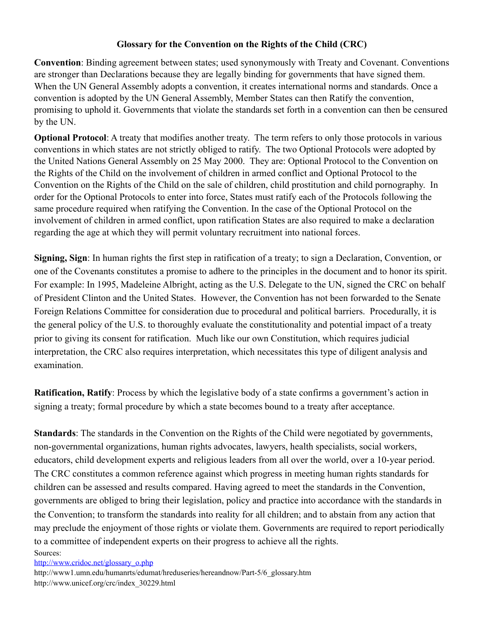## **Glossary for the Convention on the Rights of the Child (CRC)**

**Convention**: Binding agreement between states; used synonymously with Treaty and Covenant. Conventions are stronger than Declarations because they are legally binding for governments that have signed them. When the UN General Assembly adopts a convention, it creates international norms and standards. Once a convention is adopted by the UN General Assembly, Member States can then Ratify the convention, promising to uphold it. Governments that violate the standards set forth in a convention can then be censured by the UN.

**Optional Protocol**: A treaty that modifies another treaty. The term refers to only those protocols in various conventions in which states are not strictly obliged to ratify. The two Optional Protocols were adopted by the United Nations General Assembly on 25 May 2000. They are: Optional Protocol to the Convention on the Rights of the Child on the involvement of children in armed conflict and Optional Protocol to the Convention on the Rights of the Child on the sale of children, child prostitution and child pornography. In order for the Optional Protocols to enter into force, States must ratify each of the Protocols following the same procedure required when ratifying the Convention. In the case of the Optional Protocol on the involvement of children in armed conflict, upon ratification States are also required to make a declaration regarding the age at which they will permit voluntary recruitment into national forces.

**Signing, Sign**: In human rights the first step in ratification of a treaty; to sign a Declaration, Convention, or one of the Covenants constitutes a promise to adhere to the principles in the document and to honor its spirit. For example: In 1995, Madeleine Albright, acting as the U.S. Delegate to the UN, signed the CRC on behalf of President Clinton and the United States. However, the Convention has not been forwarded to the Senate Foreign Relations Committee for consideration due to procedural and political barriers. Procedurally, it is the general policy of the U.S. to thoroughly evaluate the constitutionality and potential impact of a treaty prior to giving its consent for ratification. Much like our own Constitution, which requires judicial interpretation, the CRC also requires interpretation, which necessitates this type of diligent analysis and examination.

**Ratification, Ratify**: Process by which the legislative body of a state confirms a government's action in signing a treaty; formal procedure by which a state becomes bound to a treaty after acceptance.

**Standards**: The standards in the Convention on the Rights of the Child were negotiated by governments, non-governmental organizations, human rights advocates, lawyers, health specialists, social workers, educators, child development experts and religious leaders from all over the world, over a 10-year period. The CRC constitutes a common reference against which progress in meeting human rights standards for children can be assessed and results compared. Having agreed to meet the standards in the Convention, governments are obliged to bring their legislation, policy and practice into accordance with the standards in the Convention; to transform the standards into reality for all children; and to abstain from any action that may preclude the enjoyment of those rights or violate them. Governments are required to report periodically to a committee of independent experts on their progress to achieve all the rights. Sources:

[http://www.cridoc.net/glossary\\_o.php](http://www.cridoc.net/glossary_o.php)

http://www1.umn.edu/humanrts/edumat/hreduseries/hereandnow/Part-5/6\_glossary.htm http://www.unicef.org/crc/index\_30229.html